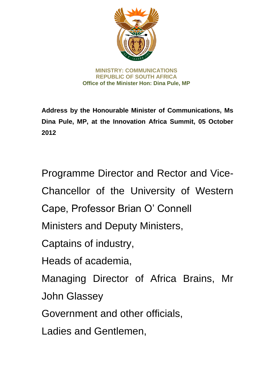

**MINISTRY: COMMUNICATIONS REPUBLIC OF SOUTH AFRICA Office of the Minister Hon: Dina Pule, MP** 

**Address by the Honourable Minister of Communications, Ms Dina Pule, MP, at the Innovation Africa Summit, 05 October 2012**

Programme Director and Rector and Vice-Chancellor of the University of Western Cape, Professor Brian O' Connell Ministers and Deputy Ministers, Captains of industry, Heads of academia, Managing Director of Africa Brains, Mr John Glassey Government and other officials, Ladies and Gentlemen,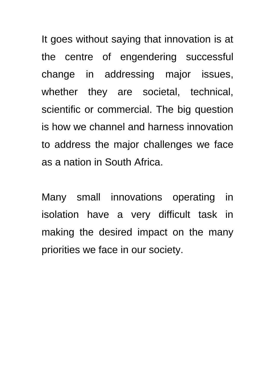It goes without saying that innovation is at the centre of engendering successful change in addressing major issues, whether they are societal, technical, scientific or commercial. The big question is how we channel and harness innovation to address the major challenges we face as a nation in South Africa.

Many small innovations operating in isolation have a very difficult task in making the desired impact on the many priorities we face in our society.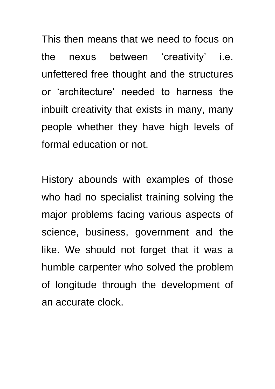This then means that we need to focus on the nexus between 'creativity' i.e. unfettered free thought and the structures or 'architecture' needed to harness the inbuilt creativity that exists in many, many people whether they have high levels of formal education or not.

History abounds with examples of those who had no specialist training solving the major problems facing various aspects of science, business, government and the like. We should not forget that it was a humble carpenter who solved the problem of longitude through the development of an accurate clock.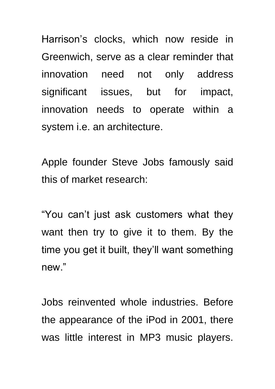Harrison's clocks, which now reside in Greenwich, serve as a clear reminder that innovation need not only address significant issues, but for impact, innovation needs to operate within a system i.e. an architecture.

Apple founder Steve Jobs famously said this of market research:

"You can't just ask customers what they want then try to give it to them. By the time you get it built, they'll want something new."

Jobs reinvented whole industries. Before the appearance of the iPod in 2001, there was little interest in MP3 music players.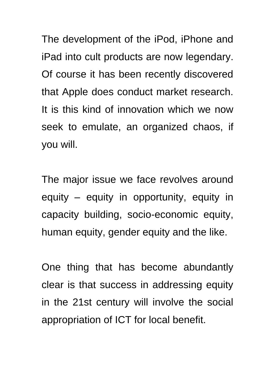The development of the iPod, iPhone and iPad into cult products are now legendary. Of course it has been recently discovered that Apple does conduct market research. It is this kind of innovation which we now seek to emulate, an organized chaos, if you will.

The major issue we face revolves around equity – equity in opportunity, equity in capacity building, socio-economic equity, human equity, gender equity and the like.

One thing that has become abundantly clear is that success in addressing equity in the 21st century will involve the social appropriation of ICT for local benefit.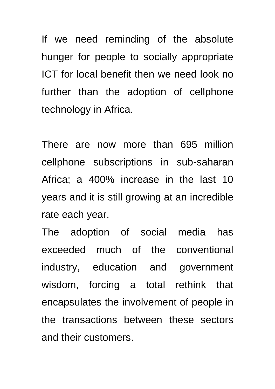If we need reminding of the absolute hunger for people to socially appropriate ICT for local benefit then we need look no further than the adoption of cellphone technology in Africa.

There are now more than 695 million cellphone subscriptions in sub-saharan Africa; a 400% increase in the last 10 years and it is still growing at an incredible rate each year.

The adoption of social media has exceeded much of the conventional industry, education and government wisdom, forcing a total rethink that encapsulates the involvement of people in the transactions between these sectors and their customers.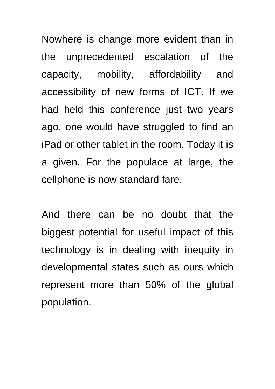Nowhere is change more evident than in the unprecedented escalation of the capacity, mobility, affordability and accessibility of new forms of ICT. If we had held this conference just two years ago, one would have struggled to find an iPad or other tablet in the room. Today it is a given. For the populace at large, the cellphone is now standard fare.

And there can be no doubt that the biggest potential for useful impact of this technology is in dealing with inequity in developmental states such as ours which represent more than 50% of the global population.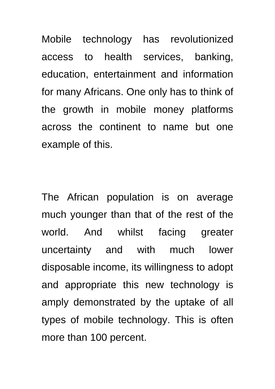Mobile technology has revolutionized access to health services, banking, education, entertainment and information for many Africans. One only has to think of the growth in mobile money platforms across the continent to name but one example of this.

The African population is on average much younger than that of the rest of the world. And whilst facing greater uncertainty and with much lower disposable income, its willingness to adopt and appropriate this new technology is amply demonstrated by the uptake of all types of mobile technology. This is often more than 100 percent.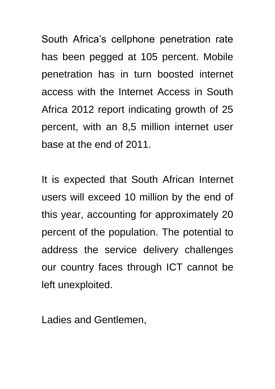South Africa's cellphone penetration rate has been pegged at 105 percent. Mobile penetration has in turn boosted internet access with the Internet Access in South Africa 2012 report indicating growth of 25 percent, with an 8,5 million internet user base at the end of 2011.

It is expected that South African Internet users will exceed 10 million by the end of this year, accounting for approximately 20 percent of the population. The potential to address the service delivery challenges our country faces through ICT cannot be left unexploited.

Ladies and Gentlemen,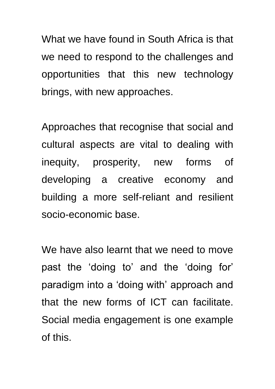What we have found in South Africa is that we need to respond to the challenges and opportunities that this new technology brings, with new approaches.

Approaches that recognise that social and cultural aspects are vital to dealing with inequity, prosperity, new forms of developing a creative economy and building a more self-reliant and resilient socio-economic base.

We have also learnt that we need to move past the 'doing to' and the 'doing for' paradigm into a 'doing with' approach and that the new forms of ICT can facilitate. Social media engagement is one example of this.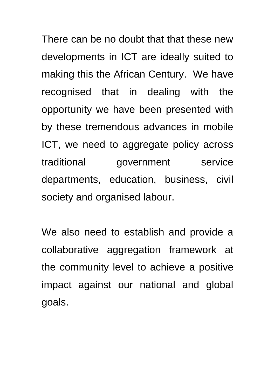There can be no doubt that that these new developments in ICT are ideally suited to making this the African Century. We have recognised that in dealing with the opportunity we have been presented with by these tremendous advances in mobile ICT, we need to aggregate policy across traditional government service departments, education, business, civil society and organised labour.

We also need to establish and provide a collaborative aggregation framework at the community level to achieve a positive impact against our national and global goals.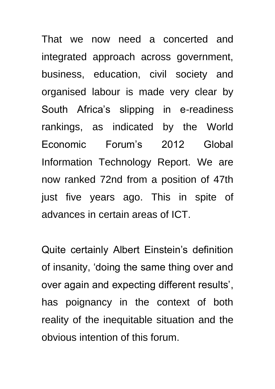That we now need a concerted and integrated approach across government, business, education, civil society and organised labour is made very clear by South Africa's slipping in e-readiness rankings, as indicated by the World Economic Forum's 2012 Global Information Technology Report. We are now ranked 72nd from a position of 47th just five years ago. This in spite of advances in certain areas of ICT.

Quite certainly Albert Einstein's definition of insanity, 'doing the same thing over and over again and expecting different results', has poignancy in the context of both reality of the inequitable situation and the obvious intention of this forum.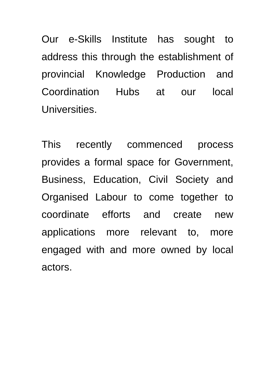Our e-Skills Institute has sought to address this through the establishment of provincial Knowledge Production and Coordination Hubs at our local Universities.

This recently commenced process provides a formal space for Government, Business, Education, Civil Society and Organised Labour to come together to coordinate efforts and create new applications more relevant to, more engaged with and more owned by local actors.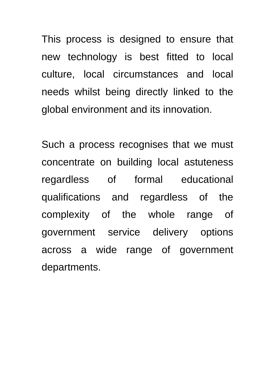This process is designed to ensure that new technology is best fitted to local culture, local circumstances and local needs whilst being directly linked to the global environment and its innovation.

Such a process recognises that we must concentrate on building local astuteness regardless of formal educational qualifications and regardless of the complexity of the whole range of government service delivery options across a wide range of government departments.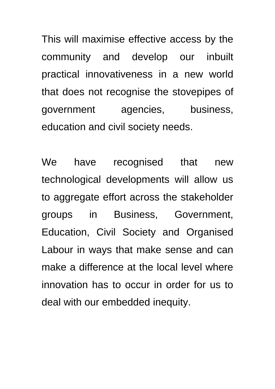This will maximise effective access by the community and develop our inbuilt practical innovativeness in a new world that does not recognise the stovepipes of government agencies, business, education and civil society needs.

We have recognised that new technological developments will allow us to aggregate effort across the stakeholder groups in Business, Government, Education, Civil Society and Organised Labour in ways that make sense and can make a difference at the local level where innovation has to occur in order for us to deal with our embedded inequity.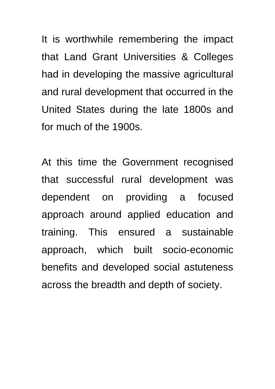It is worthwhile remembering the impact that Land Grant Universities & Colleges had in developing the massive agricultural and rural development that occurred in the United States during the late 1800s and for much of the 1900s.

At this time the Government recognised that successful rural development was dependent on providing a focused approach around applied education and training. This ensured a sustainable approach, which built socio-economic benefits and developed social astuteness across the breadth and depth of society.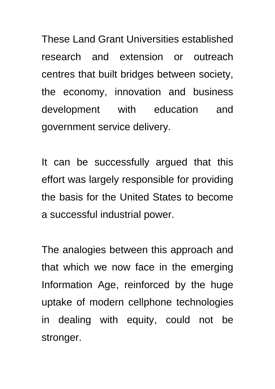These Land Grant Universities established research and extension or outreach centres that built bridges between society, the economy, innovation and business development with education and government service delivery.

It can be successfully argued that this effort was largely responsible for providing the basis for the United States to become a successful industrial power.

The analogies between this approach and that which we now face in the emerging Information Age, reinforced by the huge uptake of modern cellphone technologies in dealing with equity, could not be stronger.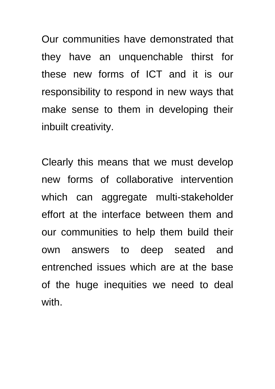Our communities have demonstrated that they have an unquenchable thirst for these new forms of ICT and it is our responsibility to respond in new ways that make sense to them in developing their inbuilt creativity.

Clearly this means that we must develop new forms of collaborative intervention which can aggregate multi-stakeholder effort at the interface between them and our communities to help them build their own answers to deep seated and entrenched issues which are at the base of the huge inequities we need to deal with.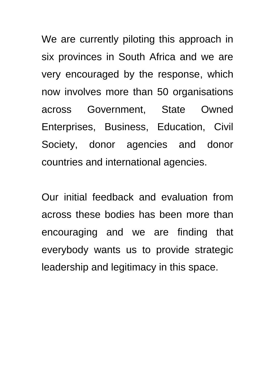We are currently piloting this approach in six provinces in South Africa and we are very encouraged by the response, which now involves more than 50 organisations across Government, State Owned Enterprises, Business, Education, Civil Society, donor agencies and donor countries and international agencies.

Our initial feedback and evaluation from across these bodies has been more than encouraging and we are finding that everybody wants us to provide strategic leadership and legitimacy in this space.